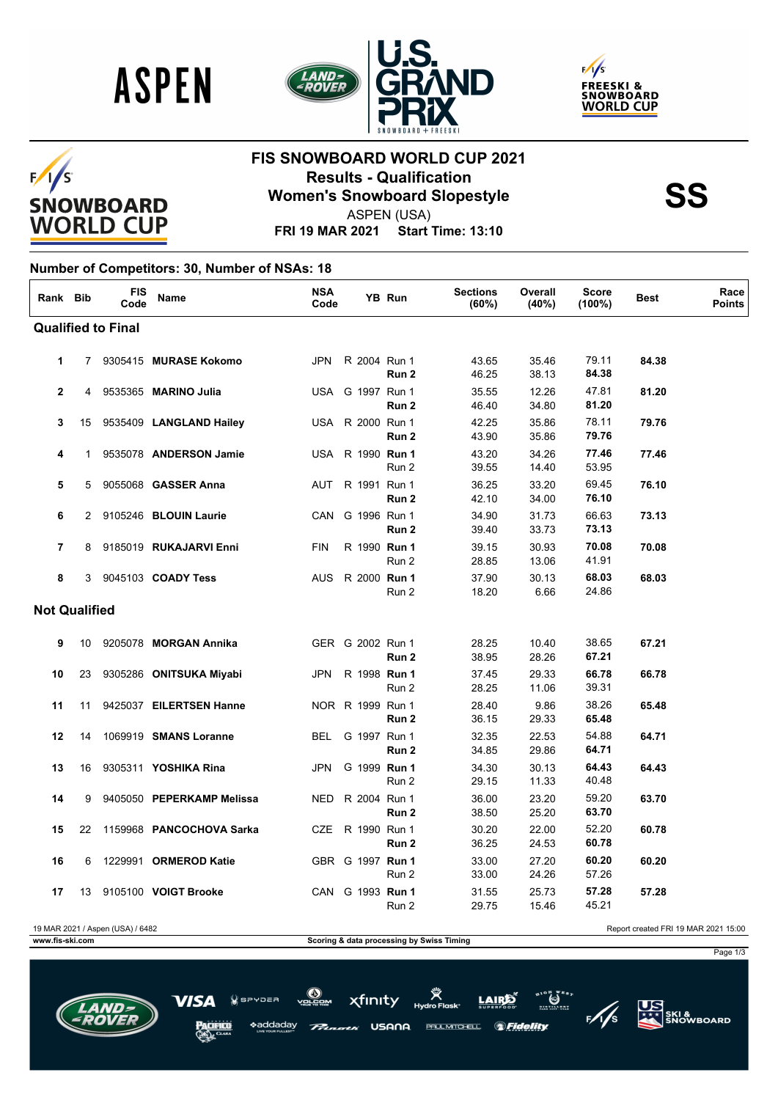





#### $F/I/S$ **SNOWBOARD WORLD CUP**

# **FIS SNOWBOARD WORLD CUP 2021 Results - Qualification<br>
Women's Snowboard Slopestyle<br>
ASPEN (USA)**

ASPEN (USA)

**FRI 19 MAR 2021 Start Time: 13:10**

#### **Number of Competitors: 30, Number of NSAs: 18**

| Rank Bib             |    | <b>FIS</b><br>Code               | <b>Name</b>               | <b>NSA</b><br>Code |                         | <b>YB Run</b>    | <b>Sections</b><br>(60%) | Overall<br>(40%) | Score<br>$(100\%)$ | Best                                 | Race<br><b>Points</b> |
|----------------------|----|----------------------------------|---------------------------|--------------------|-------------------------|------------------|--------------------------|------------------|--------------------|--------------------------------------|-----------------------|
|                      |    | <b>Qualified to Final</b>        |                           |                    |                         |                  |                          |                  |                    |                                      |                       |
| 1                    | 7  |                                  | 9305415 MURASE Kokomo     | <b>JPN</b>         | R 2004 Run 1            | Run 2            | 43.65<br>46.25           | 35.46<br>38.13   | 79.11<br>84.38     | 84.38                                |                       |
| 2                    | 4  |                                  | 9535365 MARINO Julia      |                    | USA G 1997 Run 1        | Run 2            | 35.55<br>46.40           | 12.26<br>34.80   | 47.81<br>81.20     | 81.20                                |                       |
| 3                    | 15 |                                  | 9535409 LANGLAND Hailey   |                    | USA R 2000 Run 1        | Run <sub>2</sub> | 42.25<br>43.90           | 35.86<br>35.86   | 78.11<br>79.76     | 79.76                                |                       |
| 4                    | 1  |                                  | 9535078 ANDERSON Jamie    |                    | USA R 1990 <b>Run 1</b> | Run 2            | 43.20<br>39.55           | 34.26<br>14.40   | 77.46<br>53.95     | 77.46                                |                       |
| 5                    | 5  |                                  | 9055068 GASSER Anna       |                    | AUT R 1991 Run 1        | Run 2            | 36.25<br>42.10           | 33.20<br>34.00   | 69.45<br>76.10     | 76.10                                |                       |
| 6                    |    |                                  | 2 9105246 BLOUIN Laurie   |                    | CAN G 1996 Run 1        | Run 2            | 34.90<br>39.40           | 31.73<br>33.73   | 66.63<br>73.13     | 73.13                                |                       |
| 7                    | 8  |                                  | 9185019 RUKAJARVI Enni    | <b>FIN</b>         | R 1990 Run 1            | Run 2            | 39.15<br>28.85           | 30.93<br>13.06   | 70.08<br>41.91     | 70.08                                |                       |
| 8                    | 3  |                                  | 9045103 COADY Tess        | <b>AUS</b>         | R 2000 <b>Run 1</b>     | Run 2            | 37.90<br>18.20           | 30.13<br>6.66    | 68.03<br>24.86     | 68.03                                |                       |
| <b>Not Qualified</b> |    |                                  |                           |                    |                         |                  |                          |                  |                    |                                      |                       |
| 9                    | 10 |                                  | 9205078 MORGAN Annika     |                    | GER G 2002 Run 1        | Run <sub>2</sub> | 28.25<br>38.95           | 10.40<br>28.26   | 38.65<br>67.21     | 67.21                                |                       |
| 10                   | 23 |                                  | 9305286 ONITSUKA Miyabi   | JPN                | R 1998 Run 1            | Run 2            | 37.45<br>28.25           | 29.33<br>11.06   | 66.78<br>39.31     | 66.78                                |                       |
| 11                   | 11 |                                  | 9425037 EILERTSEN Hanne   |                    | NOR R 1999 Run 1        | Run <sub>2</sub> | 28.40<br>36.15           | 9.86<br>29.33    | 38.26<br>65.48     | 65.48                                |                       |
| 12                   | 14 |                                  | 1069919 SMANS Loranne     | BEL.               | G 1997 Run 1            | Run 2            | 32.35<br>34.85           | 22.53<br>29.86   | 54.88<br>64.71     | 64.71                                |                       |
| 13                   | 16 |                                  | 9305311 YOSHIKA Rina      | <b>JPN</b>         | G 1999 Run 1            | Run 2            | 34.30<br>29.15           | 30.13<br>11.33   | 64.43<br>40.48     | 64.43                                |                       |
| 14                   | 9  |                                  | 9405050 PEPERKAMP Melissa |                    | NED R 2004 Run 1        | Run 2            | 36.00<br>38.50           | 23.20<br>25.20   | 59.20<br>63.70     | 63.70                                |                       |
| 15                   | 22 |                                  | 1159968 PANCOCHOVA Sarka  |                    | CZE R 1990 Run 1        | Run <sub>2</sub> | 30.20<br>36.25           | 22.00<br>24.53   | 52.20<br>60.78     | 60.78                                |                       |
| 16                   | 6  |                                  | 1229991 ORMEROD Katie     |                    | GBR G 1997 Run 1        | Run 2            | 33.00<br>33.00           | 27.20<br>24.26   | 60.20<br>57.26     | 60.20                                |                       |
| 17                   |    |                                  | 13 9105100 VOIGT Brooke   |                    | CAN G 1993 Run 1        | Run 2            | 31.55<br>29.75           | 25.73<br>15.46   | 57.28<br>45.21     | 57.28                                |                       |
|                      |    | 19 MAR 2021 / Aspen (USA) / 6482 |                           |                    |                         |                  |                          |                  |                    | Report created FRI 19 MAR 2021 15:00 |                       |

**www.fis-ski.com Scoring & data processing by Swiss Timing** 

Page 1/3



 $\bigcirc$   $\bigcirc$   $\bigcirc$ xfinity  $7DER$ \*addaday USANA PAUL MITCHELL. *SFidelity* 

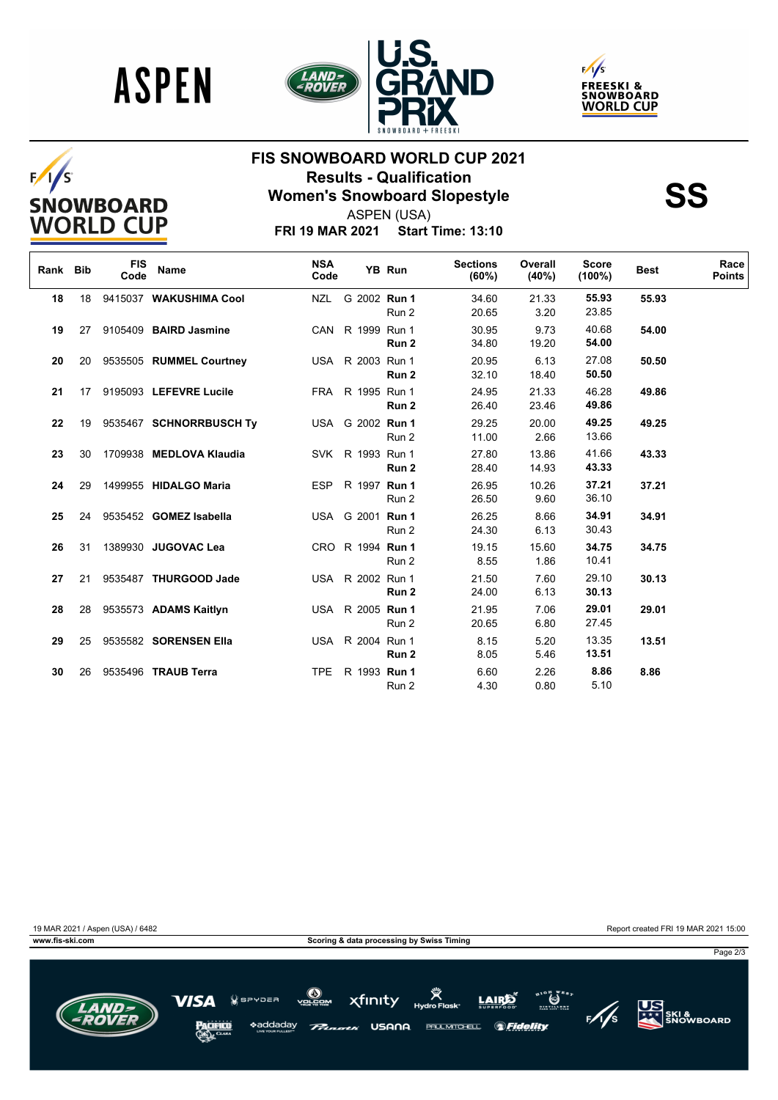







# **FIS SNOWBOARD WORLD CUP 2021 Results - Qualification<br>
Women's Snowboard Slopestyle<br>
ASPEN (USA)**



ASPEN (USA)

**FRI 19 MAR 2021 Start Time: 13:10**

| Rank Bib |    | <b>FIS</b><br>Code | <b>Name</b>              | <b>NSA</b><br>Code |                  | YB Run | <b>Sections</b><br>(60%) | Overall<br>(40%) | <b>Score</b><br>$(100\%)$ | <b>Best</b> | Race<br><b>Points</b> |
|----------|----|--------------------|--------------------------|--------------------|------------------|--------|--------------------------|------------------|---------------------------|-------------|-----------------------|
| 18       | 18 |                    | 9415037 WAKUSHIMA Cool   | NZL                | G 2002 Run 1     | Run 2  | 34.60<br>20.65           | 21.33<br>3.20    | 55.93<br>23.85            | 55.93       |                       |
| 19       | 27 |                    | 9105409 BAIRD Jasmine    |                    | CAN R 1999 Run 1 | Run 2  | 30.95<br>34.80           | 9.73<br>19.20    | 40.68<br>54.00            | 54.00       |                       |
| 20       | 20 |                    | 9535505 RUMMEL Courtney  |                    | USA R 2003 Run 1 | Run 2  | 20.95<br>32.10           | 6.13<br>18.40    | 27.08<br>50.50            | 50.50       |                       |
| 21       | 17 |                    | 9195093 LEFEVRE Lucile   |                    | FRA R 1995 Run 1 | Run 2  | 24.95<br>26.40           | 21.33<br>23.46   | 46.28<br>49.86            | 49.86       |                       |
| 22       | 19 |                    | 9535467 SCHNORRBUSCH Tv  |                    | USA G 2002 Run 1 | Run 2  | 29.25<br>11.00           | 20.00<br>2.66    | 49.25<br>13.66            | 49.25       |                       |
| 23       | 30 |                    | 1709938 MEDLOVA Klaudia  |                    | SVK R 1993 Run 1 | Run 2  | 27.80<br>28.40           | 13.86<br>14.93   | 41.66<br>43.33            | 43.33       |                       |
| 24       | 29 |                    | 1499955 HIDALGO Maria    |                    | ESP R 1997 Run 1 | Run 2  | 26.95<br>26.50           | 10.26<br>9.60    | 37.21<br>36.10            | 37.21       |                       |
| 25       | 24 |                    | 9535452 GOMEZ Isabella   |                    | USA G 2001 Run 1 | Run 2  | 26.25<br>24.30           | 8.66<br>6.13     | 34.91<br>30.43            | 34.91       |                       |
| 26       | 31 |                    | 1389930 JUGOVAC Lea      |                    | CRO R 1994 Run 1 | Run 2  | 19.15<br>8.55            | 15.60<br>1.86    | 34.75<br>10.41            | 34.75       |                       |
| 27       | 21 |                    | 9535487 THURGOOD Jade    |                    | USA R 2002 Run 1 | Run 2  | 21.50<br>24.00           | 7.60<br>6.13     | 29.10<br>30.13            | 30.13       |                       |
| 28       |    |                    | 28 9535573 ADAMS Kaitlyn |                    | USA R 2005 Run 1 | Run 2  | 21.95<br>20.65           | 7.06<br>6.80     | 29.01<br>27.45            | 29.01       |                       |
| 29       | 25 |                    | 9535582 SORENSEN Ella    |                    | USA R 2004 Run 1 | Run 2  | 8.15<br>8.05             | 5.20<br>5.46     | 13.35<br>13.51            | 13.51       |                       |
| 30       | 26 |                    | 9535496 TRAUB Terra      |                    | TPE R 1993 Run 1 | Run 2  | 6.60<br>4.30             | 2.26<br>0.80     | 8.86<br>5.10              | 8.86        |                       |